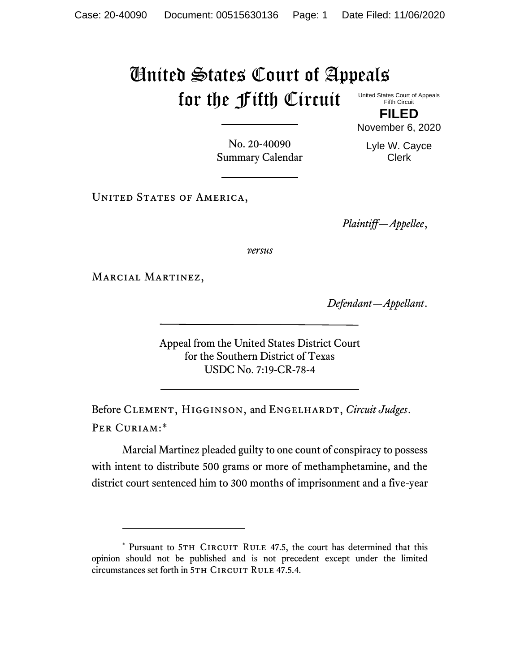## United States Court of Appeals for the Fifth Circuit

United States Court of Appeals Fifth Circuit

**FILED** November 6, 2020

No. 20-40090 Summary Calendar Lyle W. Cayce Clerk

UNITED STATES OF AMERICA,

*Plaintiff—Appellee*,

*versus*

MARCIAL MARTINEZ,

*Defendant—Appellant*.

Appeal from the United States District Court for the Southern District of Texas USDC No. 7:19-CR-78-4

Before CLEMENT, HIGGINSON, and ENGELHARDT, *Circuit Judges*. Per Curiam:\*

Marcial Martinez pleaded guilty to one count of conspiracy to possess with intent to distribute 500 grams or more of methamphetamine, and the district court sentenced him to 300 months of imprisonment and a five-year

<sup>\*</sup> Pursuant to 5TH CIRCUIT RULE 47.5, the court has determined that this opinion should not be published and is not precedent except under the limited circumstances set forth in 5TH CIRCUIT RULE 47.5.4.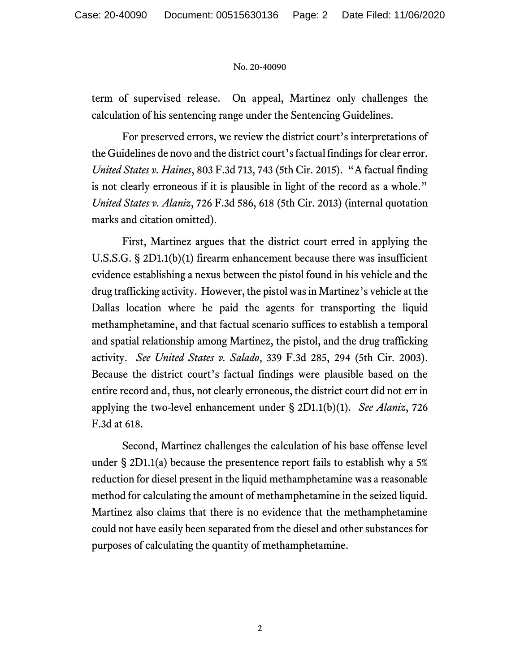## No. 20-40090

term of supervised release. On appeal, Martinez only challenges the calculation of his sentencing range under the Sentencing Guidelines.

For preserved errors, we review the district court's interpretations of the Guidelines de novo and the district court's factual findings for clear error. *United States v. Haines*, 803 F.3d 713, 743 (5th Cir. 2015). "A factual finding is not clearly erroneous if it is plausible in light of the record as a whole." *United States v. Alaniz*, 726 F.3d 586, 618 (5th Cir. 2013) (internal quotation marks and citation omitted).

First, Martinez argues that the district court erred in applying the U.S.S.G. § 2D1.1(b)(1) firearm enhancement because there was insufficient evidence establishing a nexus between the pistol found in his vehicle and the drug trafficking activity. However, the pistol was in Martinez's vehicle at the Dallas location where he paid the agents for transporting the liquid methamphetamine, and that factual scenario suffices to establish a temporal and spatial relationship among Martinez, the pistol, and the drug trafficking activity. *See United States v. Salado*, 339 F.3d 285, 294 (5th Cir. 2003). Because the district court's factual findings were plausible based on the entire record and, thus, not clearly erroneous, the district court did not err in applying the two-level enhancement under § 2D1.1(b)(1). *See Alaniz*, 726 F.3d at 618.

Second, Martinez challenges the calculation of his base offense level under  $\S 2D1.1(a)$  because the presentence report fails to establish why a 5% reduction for diesel present in the liquid methamphetamine was a reasonable method for calculating the amount of methamphetamine in the seized liquid. Martinez also claims that there is no evidence that the methamphetamine could not have easily been separated from the diesel and other substances for purposes of calculating the quantity of methamphetamine.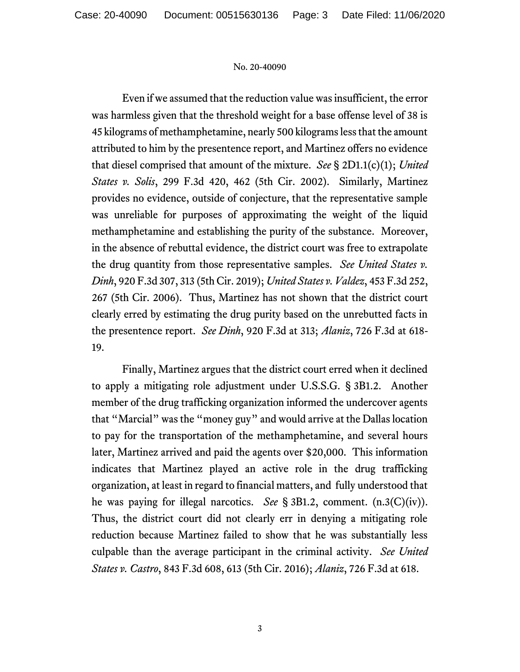## No. 20-40090

Even if we assumed that the reduction value was insufficient, the error was harmless given that the threshold weight for a base offense level of 38 is 45 kilograms of methamphetamine, nearly 500 kilograms less that the amount attributed to him by the presentence report, and Martinez offers no evidence that diesel comprised that amount of the mixture. *See* § 2D1.1(c)(1); *United States v. Solis*, 299 F.3d 420, 462 (5th Cir. 2002). Similarly, Martinez provides no evidence, outside of conjecture, that the representative sample was unreliable for purposes of approximating the weight of the liquid methamphetamine and establishing the purity of the substance. Moreover, in the absence of rebuttal evidence, the district court was free to extrapolate the drug quantity from those representative samples. *See United States v. Dinh*, 920 F.3d 307, 313 (5th Cir. 2019); *United States v. Valdez*, 453 F.3d 252, 267 (5th Cir. 2006). Thus, Martinez has not shown that the district court clearly erred by estimating the drug purity based on the unrebutted facts in the presentence report. *See Dinh*, 920 F.3d at 313; *Alaniz*, 726 F.3d at 618- 19.

Finally, Martinez argues that the district court erred when it declined to apply a mitigating role adjustment under U.S.S.G. § 3B1.2. Another member of the drug trafficking organization informed the undercover agents that "Marcial" was the "money guy" and would arrive at the Dallas location to pay for the transportation of the methamphetamine, and several hours later, Martinez arrived and paid the agents over \$20,000. This information indicates that Martinez played an active role in the drug trafficking organization, at least in regard to financial matters, and fully understood that he was paying for illegal narcotics. *See* § 3B1.2, comment. (n.3(C)(iv)). Thus, the district court did not clearly err in denying a mitigating role reduction because Martinez failed to show that he was substantially less culpable than the average participant in the criminal activity. *See United States v. Castro*, 843 F.3d 608, 613 (5th Cir. 2016); *Alaniz*, 726 F.3d at 618.